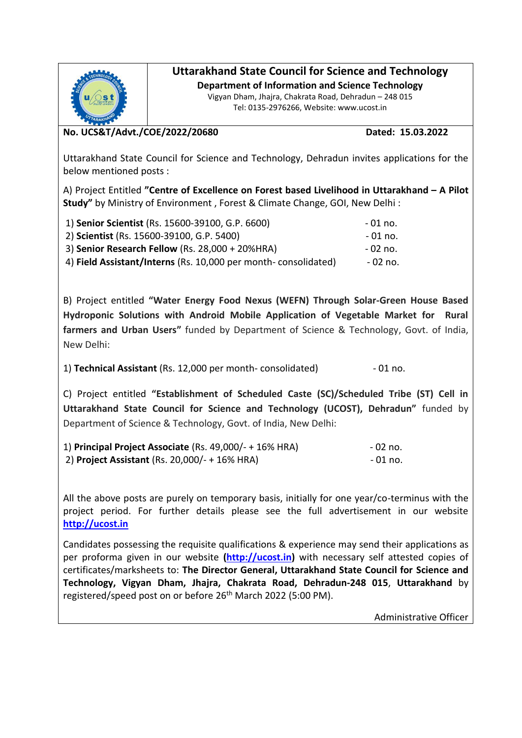

## **Uttarakhand State Council for Science and Technology**

**Department of Information and Science Technology** Vigyan Dham, Jhajra, Chakrata Road, Dehradun – 248 015

Tel: 0135-2976266, Website: www.ucost.in

## **No. UCS&T/Advt./COE/2022/20680 Dated: 15.03.2022**

Uttarakhand State Council for Science and Technology, Dehradun invites applications for the below mentioned posts :

A) Project Entitled **"Centre of Excellence on Forest based Livelihood in Uttarakhand – A Pilot Study"** by Ministry of Environment , Forest & Climate Change, GOI, New Delhi :

| 1) Senior Scientist (Rs. 15600-39100, G.P. 6600)               | - 01 no. |
|----------------------------------------------------------------|----------|
| 2) Scientist (Rs. 15600-39100, G.P. 5400)                      | - 01 no. |
| 3) Senior Research Fellow (Rs. 28,000 + 20%HRA)                | - 02 no. |
| 4) Field Assistant/Interns (Rs. 10,000 per month-consolidated) | - 02 no. |

B) Project entitled **"Water Energy Food Nexus (WEFN) Through Solar-Green House Based Hydroponic Solutions with Android Mobile Application of Vegetable Market for Rural farmers and Urban Users"** funded by Department of Science & Technology, Govt. of India, New Delhi:

1) **Technical Assistant** (Rs. 12,000 per month- consolidated) - 01 no.

C) Project entitled **"Establishment of Scheduled Caste (SC)/Scheduled Tribe (ST) Cell in Uttarakhand State Council for Science and Technology (UCOST), Dehradun"** funded by Department of Science & Technology, Govt. of India, New Delhi:

| 1) Principal Project Associate $(Rs. 49,000/- + 16\%$ HRA) | - 02 no. |
|------------------------------------------------------------|----------|
| 2) Project Assistant (Rs. 20,000/- + 16% HRA)              | - 01 no. |

All the above posts are purely on temporary basis, initially for one year/co-terminus with the project period. For further details please see the full advertisement in our website **[http://ucost.in](http://ucost.in/)**

Candidates possessing the requisite qualifications & experience may send their applications as per proforma given in our website **[\(http://ucost.in\)](http://ucost.in/)** with necessary self attested copies of certificates/marksheets to: **The Director General, Uttarakhand State Council for Science and Technology, Vigyan Dham, Jhajra, Chakrata Road, Dehradun-248 015**, **Uttarakhand** by registered/speed post on or before 26<sup>th</sup> March 2022 (5:00 PM).

Administrative Officer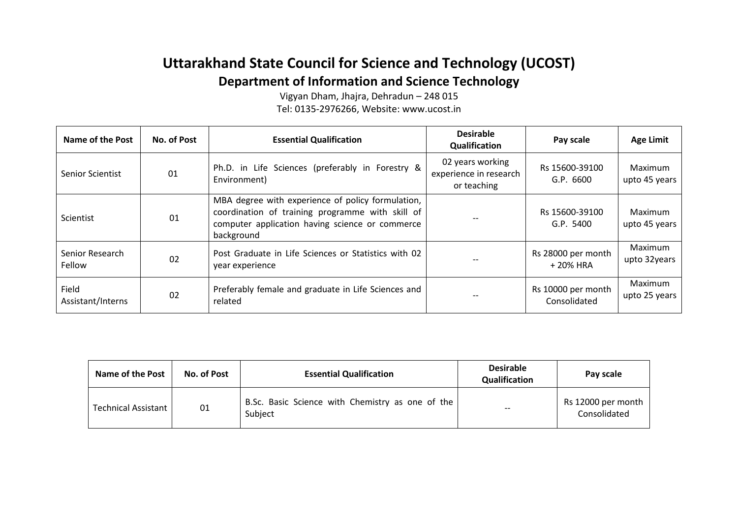# **Uttarakhand State Council for Science and Technology (UCOST) Department of Information and Science Technology**

Vigyan Dham, Jhajra, Dehradun – 248 015 Tel: 0135-2976266, Website: www.ucost.in

| Name of the Post           | No. of Post | <b>Essential Qualification</b>                                                                                                                                         | <b>Desirable</b><br>Qualification                         | Pay scale                          | <b>Age Limit</b>         |
|----------------------------|-------------|------------------------------------------------------------------------------------------------------------------------------------------------------------------------|-----------------------------------------------------------|------------------------------------|--------------------------|
| <b>Senior Scientist</b>    | 01          | Ph.D. in Life Sciences (preferably in Forestry &<br>Environment)                                                                                                       | 02 years working<br>experience in research<br>or teaching | Rs 15600-39100<br>G.P. 6600        | Maximum<br>upto 45 years |
| Scientist                  | 01          | MBA degree with experience of policy formulation,<br>coordination of training programme with skill of<br>computer application having science or commerce<br>background |                                                           | Rs 15600-39100<br>G.P. 5400        | Maximum<br>upto 45 years |
| Senior Research<br>Fellow  | 02          | Post Graduate in Life Sciences or Statistics with 02<br>year experience                                                                                                |                                                           | Rs 28000 per month<br>+ 20% HRA    | Maximum<br>upto 32years  |
| Field<br>Assistant/Interns | 02          | Preferably female and graduate in Life Sciences and<br>related                                                                                                         |                                                           | Rs 10000 per month<br>Consolidated | Maximum<br>upto 25 years |

| <b>Name of the Post</b>    | No. of Post | <b>Essential Qualification</b>                              | <b>Desirable</b><br>Qualification | Pay scale                          |
|----------------------------|-------------|-------------------------------------------------------------|-----------------------------------|------------------------------------|
| <b>Technical Assistant</b> | 01          | B.Sc. Basic Science with Chemistry as one of the<br>Subject | $- -$                             | Rs 12000 per month<br>Consolidated |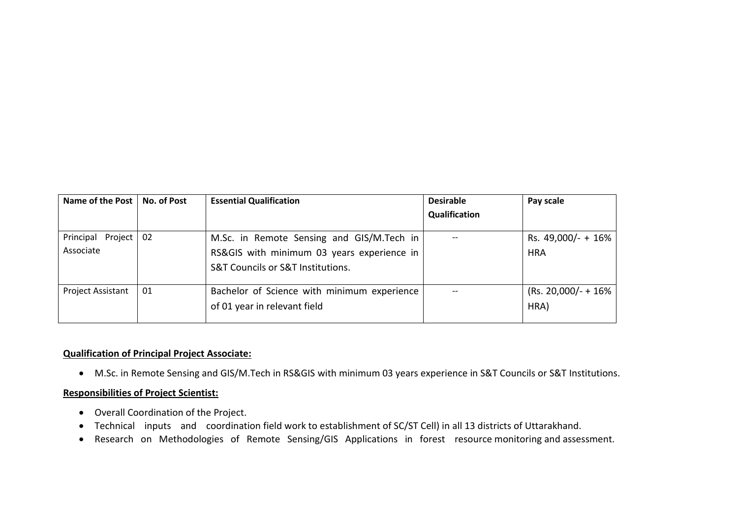| Name of the Post   No. of Post |     | <b>Essential Qualification</b>                                                                                               | <b>Desirable</b> | Pay scale                        |
|--------------------------------|-----|------------------------------------------------------------------------------------------------------------------------------|------------------|----------------------------------|
|                                |     |                                                                                                                              | Qualification    |                                  |
| Principal Project<br>Associate | -02 | M.Sc. in Remote Sensing and GIS/M.Tech in<br>RS&GIS with minimum 03 years experience in<br>S&T Councils or S&T Institutions. |                  | Rs. 49,000/- + 16%<br><b>HRA</b> |
| Project Assistant              | 01  | Bachelor of Science with minimum experience<br>of 01 year in relevant field                                                  |                  | $(Rs. 20,000/- + 16\% )$<br>HRA) |

### **Qualification of Principal Project Associate:**

• M.Sc. in Remote Sensing and GIS/M.Tech in RS&GIS with minimum 03 years experience in S&T Councils or S&T Institutions.

#### **Responsibilities of Project Scientist:**

- Overall Coordination of the Project.
- Technical inputs and coordination field work to establishment of SC/ST Cell) in all 13 districts of Uttarakhand.
- Research on Methodologies of Remote Sensing/GIS Applications in forest resource monitoring and assessment.